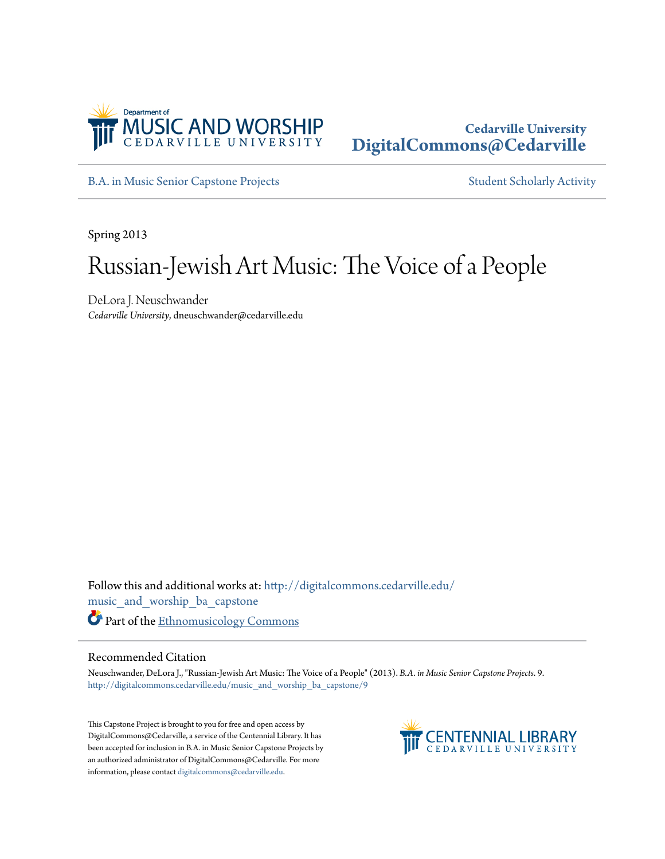

## **Cedarville University [DigitalCommons@Cedarville](http://digitalcommons.cedarville.edu?utm_source=digitalcommons.cedarville.edu%2Fmusic_and_worship_ba_capstone%2F9&utm_medium=PDF&utm_campaign=PDFCoverPages)**

[B.A. in Music Senior Capstone Projects](http://digitalcommons.cedarville.edu/music_and_worship_ba_capstone?utm_source=digitalcommons.cedarville.edu%2Fmusic_and_worship_ba_capstone%2F9&utm_medium=PDF&utm_campaign=PDFCoverPages) [Student Scholarly Activity](http://digitalcommons.cedarville.edu/music_student_scholarly_activity?utm_source=digitalcommons.cedarville.edu%2Fmusic_and_worship_ba_capstone%2F9&utm_medium=PDF&utm_campaign=PDFCoverPages)

Spring 2013

# Russian-Jewish Art Music: The Voice of a People

DeLora J. Neuschwander *Cedarville University*, dneuschwander@cedarville.edu

Follow this and additional works at: [http://digitalcommons.cedarville.edu/](http://digitalcommons.cedarville.edu/music_and_worship_ba_capstone?utm_source=digitalcommons.cedarville.edu%2Fmusic_and_worship_ba_capstone%2F9&utm_medium=PDF&utm_campaign=PDFCoverPages) [music\\_and\\_worship\\_ba\\_capstone](http://digitalcommons.cedarville.edu/music_and_worship_ba_capstone?utm_source=digitalcommons.cedarville.edu%2Fmusic_and_worship_ba_capstone%2F9&utm_medium=PDF&utm_campaign=PDFCoverPages) Part of the [Ethnomusicology Commons](http://network.bepress.com/hgg/discipline/520?utm_source=digitalcommons.cedarville.edu%2Fmusic_and_worship_ba_capstone%2F9&utm_medium=PDF&utm_campaign=PDFCoverPages)

#### Recommended Citation

Neuschwander, DeLora J., "Russian-Jewish Art Music: The Voice of a People" (2013). *B.A. in Music Senior Capstone Projects*. 9. [http://digitalcommons.cedarville.edu/music\\_and\\_worship\\_ba\\_capstone/9](http://digitalcommons.cedarville.edu/music_and_worship_ba_capstone/9?utm_source=digitalcommons.cedarville.edu%2Fmusic_and_worship_ba_capstone%2F9&utm_medium=PDF&utm_campaign=PDFCoverPages)

This Capstone Project is brought to you for free and open access by DigitalCommons@Cedarville, a service of the Centennial Library. It has been accepted for inclusion in B.A. in Music Senior Capstone Projects by an authorized administrator of DigitalCommons@Cedarville. For more information, please contact [digitalcommons@cedarville.edu.](mailto:digitalcommons@cedarville.edu)

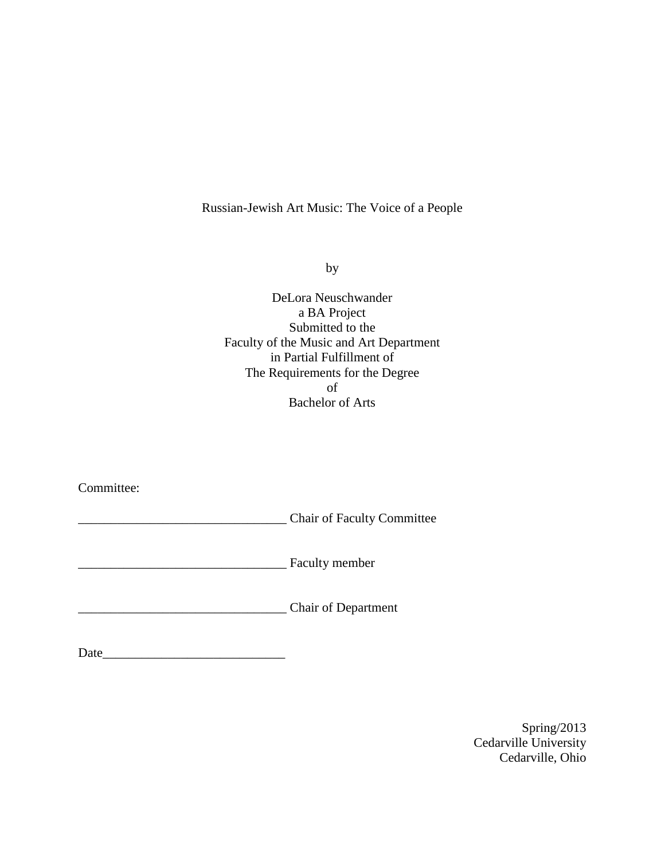### Russian-Jewish Art Music: The Voice of a People

by

DeLora Neuschwander a BA Project Submitted to the Faculty of the Music and Art Department in Partial Fulfillment of The Requirements for the Degree of Bachelor of Arts

Committee:

\_\_\_\_\_\_\_\_\_\_\_\_\_\_\_\_\_\_\_\_\_\_\_\_\_\_\_\_\_\_\_\_ Chair of Faculty Committee

**Example 1** Faculty member

\_\_\_\_\_\_\_\_\_\_\_\_\_\_\_\_\_\_\_\_\_\_\_\_\_\_\_\_\_\_\_\_ Chair of Department

Date\_\_\_\_\_\_\_\_\_\_\_\_\_\_\_\_\_\_\_\_\_\_\_\_\_\_\_\_

Spring/2013 Cedarville University Cedarville, Ohio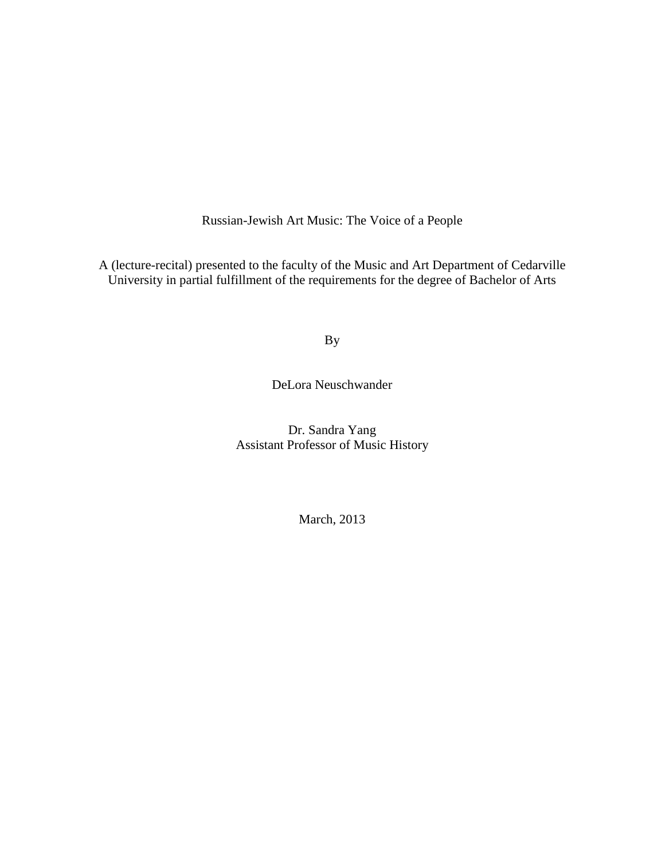Russian-Jewish Art Music: The Voice of a People

A (lecture-recital) presented to the faculty of the Music and Art Department of Cedarville University in partial fulfillment of the requirements for the degree of Bachelor of Arts

By

DeLora Neuschwander

Dr. Sandra Yang Assistant Professor of Music History

March, 2013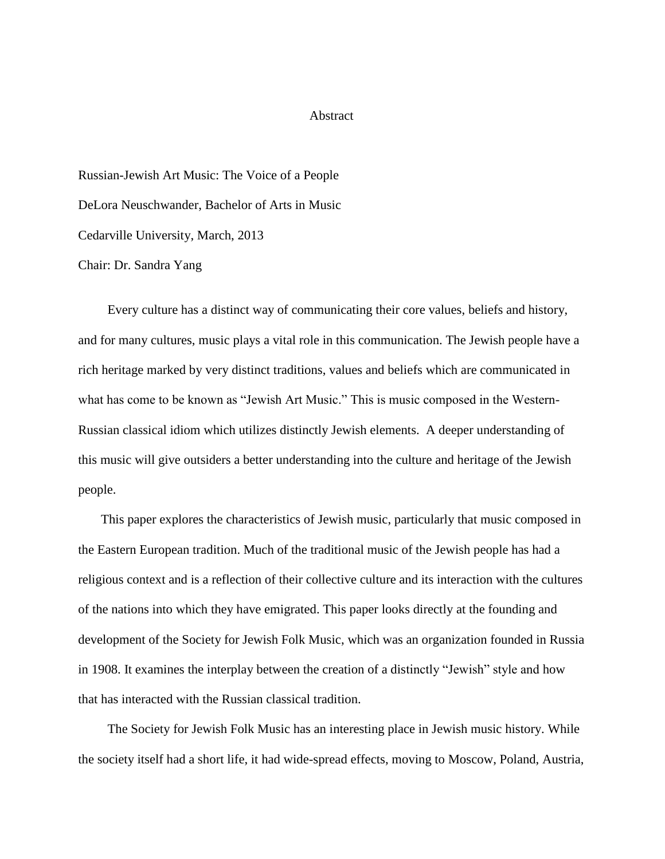#### **Abstract**

Russian-Jewish Art Music: The Voice of a People DeLora Neuschwander, Bachelor of Arts in Music Cedarville University, March, 2013 Chair: Dr. Sandra Yang

 Every culture has a distinct way of communicating their core values, beliefs and history, and for many cultures, music plays a vital role in this communication. The Jewish people have a rich heritage marked by very distinct traditions, values and beliefs which are communicated in what has come to be known as "Jewish Art Music." This is music composed in the Western-Russian classical idiom which utilizes distinctly Jewish elements. A deeper understanding of this music will give outsiders a better understanding into the culture and heritage of the Jewish people.

 This paper explores the characteristics of Jewish music, particularly that music composed in the Eastern European tradition. Much of the traditional music of the Jewish people has had a religious context and is a reflection of their collective culture and its interaction with the cultures of the nations into which they have emigrated. This paper looks directly at the founding and development of the Society for Jewish Folk Music, which was an organization founded in Russia in 1908. It examines the interplay between the creation of a distinctly "Jewish" style and how that has interacted with the Russian classical tradition.

 The Society for Jewish Folk Music has an interesting place in Jewish music history. While the society itself had a short life, it had wide-spread effects, moving to Moscow, Poland, Austria,